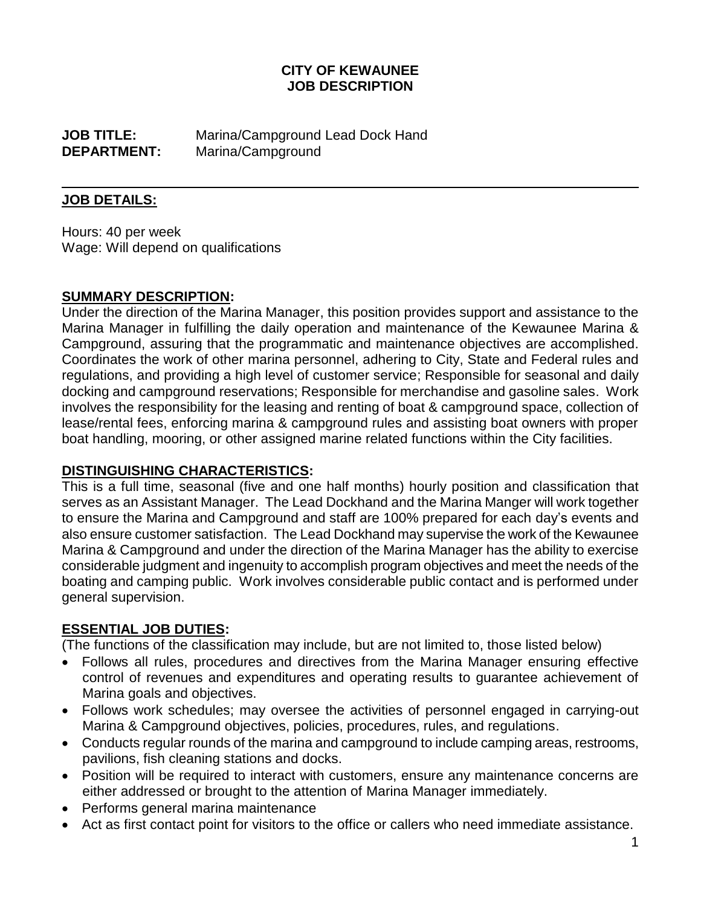# **CITY OF KEWAUNEE JOB DESCRIPTION**

**JOB TITLE:** Marina/Campground Lead Dock Hand **DEPARTMENT:** Marina/Campground

#### **JOB DETAILS:**

Hours: 40 per week Wage: Will depend on qualifications

#### **SUMMARY DESCRIPTION:**

Under the direction of the Marina Manager, this position provides support and assistance to the Marina Manager in fulfilling the daily operation and maintenance of the Kewaunee Marina & Campground, assuring that the programmatic and maintenance objectives are accomplished. Coordinates the work of other marina personnel, adhering to City, State and Federal rules and regulations, and providing a high level of customer service; Responsible for seasonal and daily docking and campground reservations; Responsible for merchandise and gasoline sales. Work involves the responsibility for the leasing and renting of boat & campground space, collection of lease/rental fees, enforcing marina & campground rules and assisting boat owners with proper boat handling, mooring, or other assigned marine related functions within the City facilities.

### **DISTINGUISHING CHARACTERISTICS:**

This is a full time, seasonal (five and one half months) hourly position and classification that serves as an Assistant Manager. The Lead Dockhand and the Marina Manger will work together to ensure the Marina and Campground and staff are 100% prepared for each day's events and also ensure customer satisfaction. The Lead Dockhand may supervise the work of the Kewaunee Marina & Campground and under the direction of the Marina Manager has the ability to exercise considerable judgment and ingenuity to accomplish program objectives and meet the needs of the boating and camping public. Work involves considerable public contact and is performed under general supervision.

### **ESSENTIAL JOB DUTIES:**

(The functions of the classification may include, but are not limited to, those listed below)

- Follows all rules, procedures and directives from the Marina Manager ensuring effective control of revenues and expenditures and operating results to guarantee achievement of Marina goals and objectives.
- Follows work schedules; may oversee the activities of personnel engaged in carrying-out Marina & Campground objectives, policies, procedures, rules, and regulations.
- Conducts regular rounds of the marina and campground to include camping areas, restrooms, pavilions, fish cleaning stations and docks.
- Position will be required to interact with customers, ensure any maintenance concerns are either addressed or brought to the attention of Marina Manager immediately.
- Performs general marina maintenance
- Act as first contact point for visitors to the office or callers who need immediate assistance.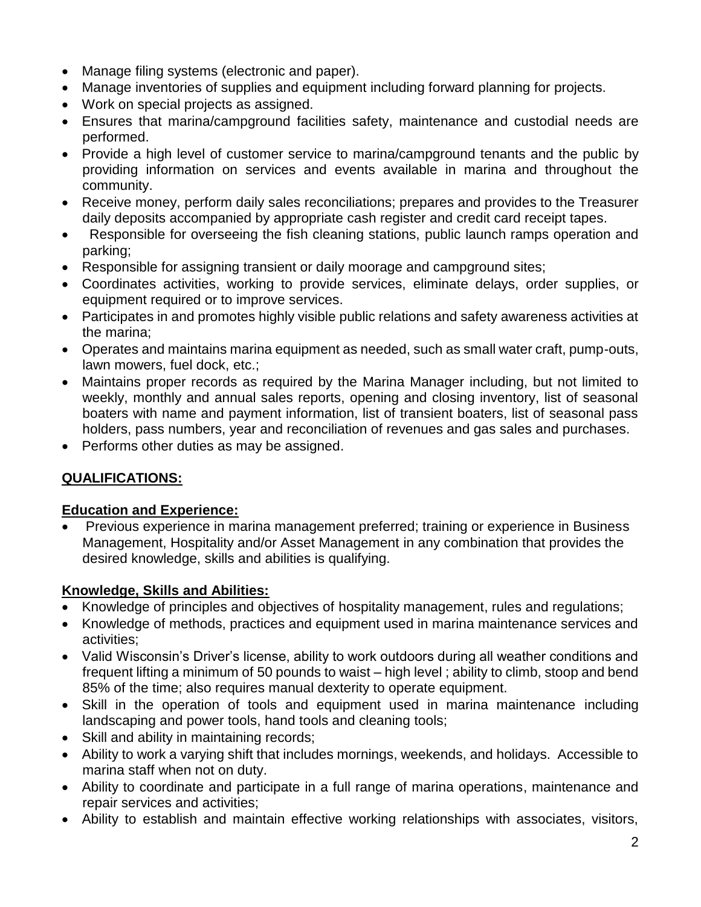- Manage filing systems (electronic and paper).
- Manage inventories of supplies and equipment including forward planning for projects.
- Work on special projects as assigned.
- Ensures that marina/campground facilities safety, maintenance and custodial needs are performed.
- Provide a high level of customer service to marina/campground tenants and the public by providing information on services and events available in marina and throughout the community.
- Receive money, perform daily sales reconciliations; prepares and provides to the Treasurer daily deposits accompanied by appropriate cash register and credit card receipt tapes.
- Responsible for overseeing the fish cleaning stations, public launch ramps operation and parking;
- Responsible for assigning transient or daily moorage and campground sites;
- Coordinates activities, working to provide services, eliminate delays, order supplies, or equipment required or to improve services.
- Participates in and promotes highly visible public relations and safety awareness activities at the marina;
- Operates and maintains marina equipment as needed, such as small water craft, pump-outs, lawn mowers, fuel dock, etc.;
- Maintains proper records as required by the Marina Manager including, but not limited to weekly, monthly and annual sales reports, opening and closing inventory, list of seasonal boaters with name and payment information, list of transient boaters, list of seasonal pass holders, pass numbers, year and reconciliation of revenues and gas sales and purchases.
- Performs other duties as may be assigned.

# **QUALIFICATIONS:**

# **Education and Experience:**

 Previous experience in marina management preferred; training or experience in Business Management, Hospitality and/or Asset Management in any combination that provides the desired knowledge, skills and abilities is qualifying.

# **Knowledge, Skills and Abilities:**

- Knowledge of principles and objectives of hospitality management, rules and regulations;
- Knowledge of methods, practices and equipment used in marina maintenance services and activities;
- Valid Wisconsin's Driver's license, ability to work outdoors during all weather conditions and frequent lifting a minimum of 50 pounds to waist – high level ; ability to climb, stoop and bend 85% of the time; also requires manual dexterity to operate equipment.
- Skill in the operation of tools and equipment used in marina maintenance including landscaping and power tools, hand tools and cleaning tools;
- Skill and ability in maintaining records;
- Ability to work a varying shift that includes mornings, weekends, and holidays. Accessible to marina staff when not on duty.
- Ability to coordinate and participate in a full range of marina operations, maintenance and repair services and activities;
- Ability to establish and maintain effective working relationships with associates, visitors,